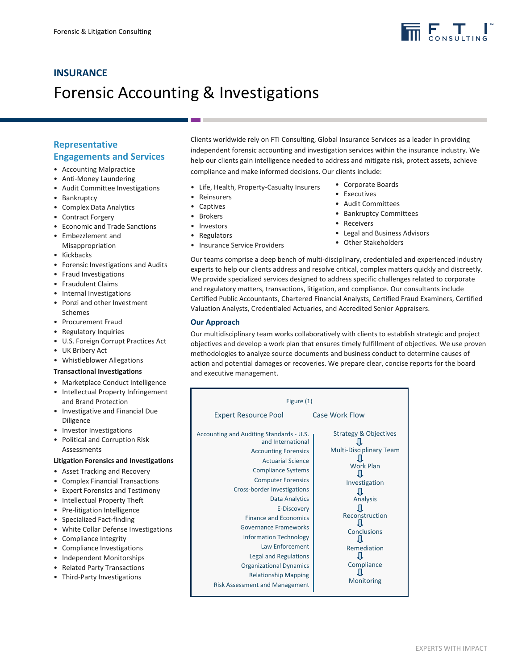

## **INSURANCE**  Forensic Accounting & Investigations

### **Representative Engagements and Services**

- Accounting Malpractice
- Anti-Money Laundering
- Audit Committee Investigations
- Bankruptcy
- Complex Data Analytics
- Contract Forgery
- Economic and Trade Sanctions
- Embezzlement and Misappropriation
- Kickbacks
- Forensic Investigations and Audits
- Fraud Investigations
- Fraudulent Claims
- Internal Investigations
- Ponzi and other Investment Schemes
- Procurement Fraud
- Regulatory Inquiries
- U.S. Foreign Corrupt Practices Act
- UK Bribery Act
- Whistleblower Allegations

#### **Transactional Investigations**

- Marketplace Conduct Intelligence
- Intellectual Property Infringement and Brand Protection
- Investigative and Financial Due Diligence
- Investor Investigations
- Political and Corruption Risk **Assessments**

#### **Litigation Forensics and Investigations**

- Asset Tracking and Recovery
- Complex Financial Transactions
- Expert Forensics and Testimony
- Intellectual Property Theft
- Pre-litigation Intelligence
- Specialized Fact-finding
- White Collar Defense Investigations
- Compliance Integrity
- Compliance Investigations
- Independent Monitorships
- Related Party Transactions
- Third-Party Investigations

Clients worldwide rely on FTI Consulting, Global Insurance Services as a leader in providing independent forensic accounting and investigation services within the insurance industry. We help our clients gain intelligence needed to address and mitigate risk, protect assets, achieve compliance and make informed decisions. Our clients include:

- Life, Health, Property-Casualty Insurers
- Reinsurers
- Captives
- **Brokers**
- Investors
- Regulators
- Insurance Service Providers
- Corporate Boards
- Executives
- Audit Committees
- Bankruptcy Committees
- Receivers
- Legal and Business Advisors
- Other Stakeholders

Our teams comprise a deep bench of multi-disciplinary, credentialed and experienced industry experts to help our clients address and resolve critical, complex matters quickly and discreetly. We provide specialized services designed to address specific challenges related to corporate and regulatory matters, transactions, litigation, and compliance. Our consultants include Certified Public Accountants, Chartered Financial Analysts, Certified Fraud Examiners, Certified Valuation Analysts, Credentialed Actuaries, and Accredited Senior Appraisers.

#### **Our Approach**

Our multidisciplinary team works collaboratively with clients to establish strategic and project objectives and develop a work plan that ensures timely fulfillment of objectives. We use proven methodologies to analyze source documents and business conduct to determine causes of action and potential damages or recoveries. We prepare clear, concise reports for the board and executive management.

| Figure (1)                                                                                                                                                                                                                                                                                                                                                                                                                                                       |                                                                                                                                                                                                 |
|------------------------------------------------------------------------------------------------------------------------------------------------------------------------------------------------------------------------------------------------------------------------------------------------------------------------------------------------------------------------------------------------------------------------------------------------------------------|-------------------------------------------------------------------------------------------------------------------------------------------------------------------------------------------------|
| <b>Expert Resource Pool</b>                                                                                                                                                                                                                                                                                                                                                                                                                                      | Case Work Flow                                                                                                                                                                                  |
| Accounting and Auditing Standards - U.S.<br>and International<br><b>Accounting Forensics</b><br><b>Actuarial Science</b><br><b>Compliance Systems</b><br><b>Computer Forensics</b><br>Cross-border Investigations<br><b>Data Analytics</b><br>E-Discovery<br><b>Finance and Economics</b><br>Governance Frameworks<br><b>Information Technology</b><br>Law Enforcement<br>Legal and Regulations<br><b>Organizational Dynamics</b><br><b>Relationship Mapping</b> | <b>Strategy &amp; Objectives</b><br><b>Multi-Disciplinary Team</b><br><b>Work Plan</b><br>Investigation<br>Analysis<br>Reconstruction<br>Conclusions<br>Remediation<br>Compliance<br>Monitoring |
| <b>Risk Assessment and Management</b>                                                                                                                                                                                                                                                                                                                                                                                                                            |                                                                                                                                                                                                 |